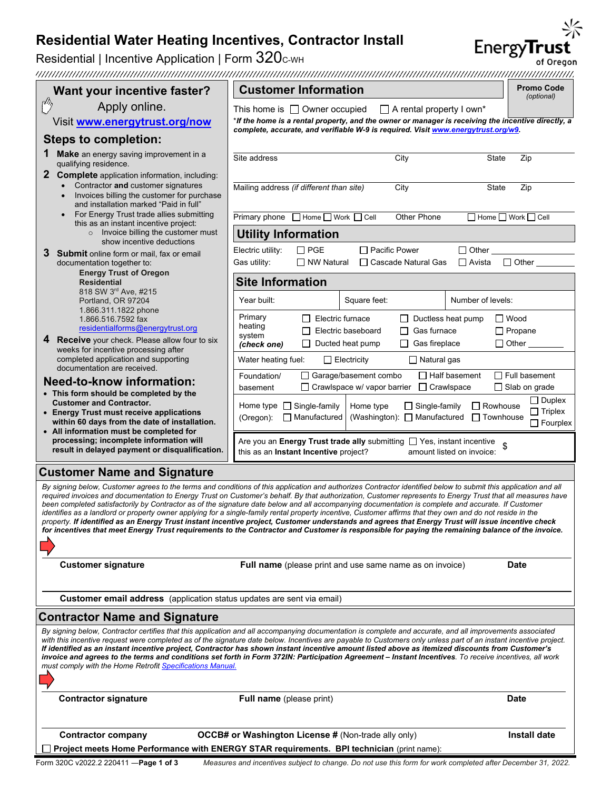| Want your incentive faster?                                                                                                                                                                                                                                                                                                                                                                                                                                                                                       | <b>Customer Information</b>                                                                                                                                                                                                                                                                                                                                                                                                                                                                                                                                                                                                                                                                                                                                                                                                                                                                                                                                    | <b>Promo Code</b>                                                                                                 |  |  |  |
|-------------------------------------------------------------------------------------------------------------------------------------------------------------------------------------------------------------------------------------------------------------------------------------------------------------------------------------------------------------------------------------------------------------------------------------------------------------------------------------------------------------------|----------------------------------------------------------------------------------------------------------------------------------------------------------------------------------------------------------------------------------------------------------------------------------------------------------------------------------------------------------------------------------------------------------------------------------------------------------------------------------------------------------------------------------------------------------------------------------------------------------------------------------------------------------------------------------------------------------------------------------------------------------------------------------------------------------------------------------------------------------------------------------------------------------------------------------------------------------------|-------------------------------------------------------------------------------------------------------------------|--|--|--|
| $\mathcal{C}^{\prime\prime}$<br>Apply online.<br>Visit www.energytrust.org/now<br><b>Steps to completion:</b>                                                                                                                                                                                                                                                                                                                                                                                                     | $\Box$ A rental property I own*<br>This home is $\Box$ Owner occupied<br>*If the home is a rental property, and the owner or manager is receiving the incentive directly, a<br>complete, accurate, and verifiable W-9 is required. Visit www.energytrust.org/w9.                                                                                                                                                                                                                                                                                                                                                                                                                                                                                                                                                                                                                                                                                               | (optional)                                                                                                        |  |  |  |
| Make an energy saving improvement in a<br>1<br>qualifying residence.                                                                                                                                                                                                                                                                                                                                                                                                                                              | Site address<br>City                                                                                                                                                                                                                                                                                                                                                                                                                                                                                                                                                                                                                                                                                                                                                                                                                                                                                                                                           | Zip<br>State                                                                                                      |  |  |  |
| 2 Complete application information, including:<br>Contractor and customer signatures<br>Invoices billing the customer for purchase<br>and installation marked "Paid in full"                                                                                                                                                                                                                                                                                                                                      | Mailing address (if different than site)<br>City                                                                                                                                                                                                                                                                                                                                                                                                                                                                                                                                                                                                                                                                                                                                                                                                                                                                                                               | State<br>Zip                                                                                                      |  |  |  |
| For Energy Trust trade allies submitting<br>this as an instant incentive project:<br>o Invoice billing the customer must                                                                                                                                                                                                                                                                                                                                                                                          | Primary phone □ Home □ Work □ Cell<br>Other Phone<br><b>Utility Information</b>                                                                                                                                                                                                                                                                                                                                                                                                                                                                                                                                                                                                                                                                                                                                                                                                                                                                                | $\Box$ Home $\Box$ Work $\Box$ Cell                                                                               |  |  |  |
| show incentive deductions<br>3<br><b>Submit</b> online form or mail, fax or email<br>documentation together to:                                                                                                                                                                                                                                                                                                                                                                                                   | Electric utility:<br>$\Box$ PGE<br>$\Box$ Pacific Power<br>$\Box$ NW Natural<br>□ Cascade Natural Gas<br>Gas utility:                                                                                                                                                                                                                                                                                                                                                                                                                                                                                                                                                                                                                                                                                                                                                                                                                                          | $\Box$ Other<br>$\Box$ Other<br>$\Box$ Avista                                                                     |  |  |  |
| <b>Energy Trust of Oregon</b><br><b>Residential</b>                                                                                                                                                                                                                                                                                                                                                                                                                                                               | <b>Site Information</b>                                                                                                                                                                                                                                                                                                                                                                                                                                                                                                                                                                                                                                                                                                                                                                                                                                                                                                                                        |                                                                                                                   |  |  |  |
| 818 SW 3rd Ave, #215<br>Portland, OR 97204<br>1.866.311.1822 phone                                                                                                                                                                                                                                                                                                                                                                                                                                                | Year built:<br>Square feet:                                                                                                                                                                                                                                                                                                                                                                                                                                                                                                                                                                                                                                                                                                                                                                                                                                                                                                                                    | Number of levels:                                                                                                 |  |  |  |
| Primary<br>Electric furnace<br>Ductless heat pump<br>$\Box$ Wood<br>1.866.516.7592 fax<br>heating<br>residentialforms@energytrust.org<br>Electric baseboard<br>Gas furnace<br>$\Box$ Propane<br>$\Box$<br>system<br><b>4</b> Receive your check. Please allow four to six<br>$\Box$ Ducted heat pump<br>Gas fireplace<br>$\Box$ Other<br>$\Box$<br>(check one)<br>weeks for incentive processing after<br>completed application and supporting<br>Water heating fuel:<br>$\Box$ Electricity<br>$\Box$ Natural gas |                                                                                                                                                                                                                                                                                                                                                                                                                                                                                                                                                                                                                                                                                                                                                                                                                                                                                                                                                                |                                                                                                                   |  |  |  |
| documentation are received.<br><b>Need-to-know information:</b>                                                                                                                                                                                                                                                                                                                                                                                                                                                   | $\Box$ Full basement<br>$\Box$ Half basement<br>$\Box$ Garage/basement combo<br>Foundation/                                                                                                                                                                                                                                                                                                                                                                                                                                                                                                                                                                                                                                                                                                                                                                                                                                                                    |                                                                                                                   |  |  |  |
| • This form should be completed by the<br><b>Customer and Contractor.</b><br>• Energy Trust must receive applications<br>within 60 days from the date of installation.                                                                                                                                                                                                                                                                                                                                            | $\Box$ Crawlspace w/ vapor barrier<br>$\Box$ Crawlspace<br>basement<br>Home type $\Box$ Single-family<br>$\Box$ Single-family<br>Home type<br>Manufactured<br>(Washington): □ Manufactured<br>(Oregon):                                                                                                                                                                                                                                                                                                                                                                                                                                                                                                                                                                                                                                                                                                                                                        | $\Box$ Slab on grade<br>$\Box$ Duplex<br>$\Box$ Rowhouse<br>$\Box$ Triplex<br>$\Box$ Townhouse<br>$\Box$ Fourplex |  |  |  |
| • All information must be completed for<br>processing; incomplete information will<br>result in delayed payment or disqualification.                                                                                                                                                                                                                                                                                                                                                                              | Are you an Energy Trust trade ally submitting $\Box$ Yes, instant incentive<br>this as an <b>Instant Incentive</b> project?                                                                                                                                                                                                                                                                                                                                                                                                                                                                                                                                                                                                                                                                                                                                                                                                                                    | amount listed on invoice:                                                                                         |  |  |  |
| <b>Customer Name and Signature</b>                                                                                                                                                                                                                                                                                                                                                                                                                                                                                |                                                                                                                                                                                                                                                                                                                                                                                                                                                                                                                                                                                                                                                                                                                                                                                                                                                                                                                                                                |                                                                                                                   |  |  |  |
|                                                                                                                                                                                                                                                                                                                                                                                                                                                                                                                   | By signing below, Customer agrees to the terms and conditions of this application and authorizes Contractor identified below to submit this application and all<br>required invoices and documentation to Energy Trust on Customer's behalf. By that authorization, Customer represents to Energy Trust that all measures have<br>been completed satisfactorily by Contractor as of the signature date below and all accompanying documentation is complete and accurate. If Customer<br>identifies as a landlord or property owner applying for a single-family rental property incentive. Customer affirms that they own and do not reside in the<br>property. If identified as an Energy Trust instant incentive project, Customer understands and agrees that Energy Trust will issue incentive check<br>for incentives that meet Energy Trust requirements to the Contractor and Customer is responsible for paying the remaining balance of the invoice. |                                                                                                                   |  |  |  |
| <b>Customer signature</b>                                                                                                                                                                                                                                                                                                                                                                                                                                                                                         | <b>Full name</b> (please print and use same name as on invoice)                                                                                                                                                                                                                                                                                                                                                                                                                                                                                                                                                                                                                                                                                                                                                                                                                                                                                                | Date                                                                                                              |  |  |  |
| Customer email address (application status updates are sent via email)                                                                                                                                                                                                                                                                                                                                                                                                                                            |                                                                                                                                                                                                                                                                                                                                                                                                                                                                                                                                                                                                                                                                                                                                                                                                                                                                                                                                                                |                                                                                                                   |  |  |  |
| <b>Contractor Name and Signature</b>                                                                                                                                                                                                                                                                                                                                                                                                                                                                              |                                                                                                                                                                                                                                                                                                                                                                                                                                                                                                                                                                                                                                                                                                                                                                                                                                                                                                                                                                |                                                                                                                   |  |  |  |
| must comply with the Home Retrofit Specifications Manual.                                                                                                                                                                                                                                                                                                                                                                                                                                                         | By signing below, Contractor certifies that this application and all accompanying documentation is complete and accurate, and all improvements associated<br>with this incentive request were completed as of the signature date below. Incentives are payable to Customers only unless part of an instant incentive project.<br>If identified as an instant incentive project, Contractor has shown instant incentive amount listed above as itemized discounts from Customer's<br>invoice and agrees to the terms and conditions set forth in Form 372IN: Participation Agreement – Instant Incentives. To receive incentives, all work                                                                                                                                                                                                                                                                                                                      |                                                                                                                   |  |  |  |
|                                                                                                                                                                                                                                                                                                                                                                                                                                                                                                                   |                                                                                                                                                                                                                                                                                                                                                                                                                                                                                                                                                                                                                                                                                                                                                                                                                                                                                                                                                                |                                                                                                                   |  |  |  |

Form 320C v2022.2 220411 ―**Page 1 of 3** *Measures and incentives subject to change. Do not use this form for work completed after December 31, 2022.*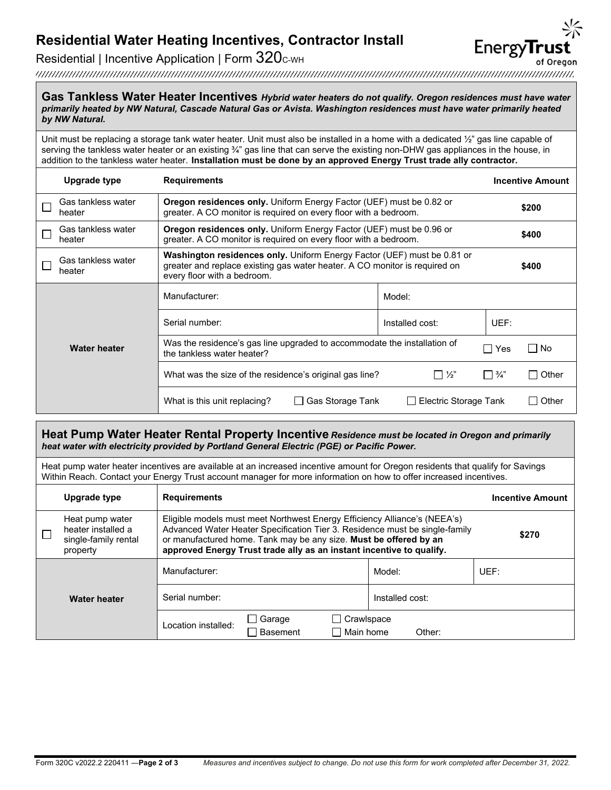# **Residential Water Heating Incentives, Contractor Install**

Residential | Incentive Application | Form 320c-wh

**Gas Tankless Water Heater Incentives** *Hybrid water heaters do not qualify. Oregon residences must have water primarily heated by NW Natural, Cascade Natural Gas or Avista. Washington residences must have water primarily heated by NW Natural.* 

Unit must be replacing a storage tank water heater. Unit must also be installed in a home with a dedicated  $\frac{1}{2}$  gas line capable of serving the tankless water heater or an existing  $\frac{3}{4}$  gas line that can serve the existing non-DHW gas appliances in the house, in addition to the tankless water heater. **Installation must be done by an approved Energy Trust trade ally contractor.**

| <b>Upgrade type</b>          | <b>Requirements</b>                                                                                    |                                                                                                                                                                                             |                             | <b>Incentive Amount</b>       |
|------------------------------|--------------------------------------------------------------------------------------------------------|---------------------------------------------------------------------------------------------------------------------------------------------------------------------------------------------|-----------------------------|-------------------------------|
| Gas tankless water<br>heater |                                                                                                        | <b>Oregon residences only.</b> Uniform Energy Factor (UEF) must be 0.82 or<br>greater. A CO monitor is required on every floor with a bedroom.                                              |                             | \$200                         |
| Gas tankless water<br>heater |                                                                                                        | <b>Oregon residences only.</b> Uniform Energy Factor (UEF) must be 0.96 or<br>greater. A CO monitor is required on every floor with a bedroom.                                              |                             | \$400                         |
| Gas tankless water<br>heater |                                                                                                        | <b>Washington residences only.</b> Uniform Energy Factor (UEF) must be 0.81 or<br>greater and replace existing gas water heater. A CO monitor is required on<br>every floor with a bedroom. |                             | \$400                         |
|                              | Manufacturer:                                                                                          |                                                                                                                                                                                             | Model:                      |                               |
|                              | Serial number:                                                                                         |                                                                                                                                                                                             | Installed cost:             | UEF:                          |
| <b>Water heater</b>          | Was the residence's gas line upgraded to accommodate the installation of<br>the tankless water heater? |                                                                                                                                                                                             |                             | □ No<br>Yes<br>$\blacksquare$ |
|                              | What was the size of the residence's original gas line?                                                |                                                                                                                                                                                             | $\vert \ \vert \frac{1}{2}$ | $\Box$ 3/4"<br>Other          |
|                              | What is this unit replacing?                                                                           | Gas Storage Tank                                                                                                                                                                            | Electric Storage Tank       | Other                         |

#### **Heat Pump Water Heater Rental Property Incentive** *Residence must be located in Oregon and primarily heat water with electricity provided by Portland General Electric (PGE) or Pacific Power.*

Heat pump water heater incentives are available at an increased incentive amount for Oregon residents that qualify for Savings Within Reach. Contact your Energy Trust account manager for more information on how to offer increased incentives.

|  | Upgrade type                                                              | <b>Requirements</b>                                                                                                                                                                                                                                                                                   |                 | <b>Incentive Amount</b> |
|--|---------------------------------------------------------------------------|-------------------------------------------------------------------------------------------------------------------------------------------------------------------------------------------------------------------------------------------------------------------------------------------------------|-----------------|-------------------------|
|  | Heat pump water<br>heater installed a<br>single-family rental<br>property | Eligible models must meet Northwest Energy Efficiency Alliance's (NEEA's)<br>Advanced Water Heater Specification Tier 3. Residence must be single-family<br>or manufactured home. Tank may be any size. Must be offered by an<br>approved Energy Trust trade ally as an instant incentive to qualify. |                 | \$270                   |
|  |                                                                           | Manufacturer:                                                                                                                                                                                                                                                                                         | Model:          | UEF:                    |
|  | <b>Water heater</b>                                                       | Serial number:                                                                                                                                                                                                                                                                                        | Installed cost: |                         |
|  |                                                                           | $\Box$ Garage<br>Crawlspace<br>Location installed:<br>Main home<br>□ Basement                                                                                                                                                                                                                         | Other:          |                         |



of Oregon